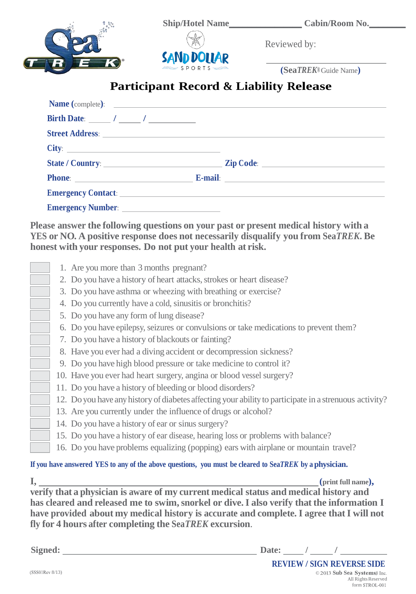

Reviewed by:

**(Sea***TREK®* Guide Name**)**

## **Participant Record & Liability Release**

| <b>Name</b> (complete): |  |  |
|-------------------------|--|--|
|                         |  |  |
|                         |  |  |
|                         |  |  |
|                         |  |  |
|                         |  |  |
|                         |  |  |
|                         |  |  |

**Please answer the following questions on your past or present medical history with a YES or NO. A positive response does not necessarily disqualify you from Sea***TREK***. Be honest with your responses. Do not put your health at risk.**

| 1. Are you more than 3 months pregnant?                                                                |
|--------------------------------------------------------------------------------------------------------|
| 2. Do you have a history of heart attacks, strokes or heart disease?                                   |
| 3. Do you have asthma or wheezing with breathing or exercise?                                          |
| 4. Do you currently have a cold, sinusitis or bronchitis?                                              |
| 5. Do you have any form of lung disease?                                                               |
| 6. Do you have epilepsy, seizures or convulsions or take medications to prevent them?                  |
| 7. Do you have a history of blackouts or fainting?                                                     |
| 8. Have you ever had a diving accident or decompression sickness?                                      |
| 9. Do you have high blood pressure or take medicine to control it?                                     |
| 10. Have you ever had heart surgery, angina or blood vessel surgery?                                   |
| 11. Do you have a history of bleeding or blood disorders?                                              |
| 12. Do you have any history of diabetes affecting your ability to participate in a strenuous activity? |
| 13. Are you currently under the influence of drugs or alcohol?                                         |
| 14. Do you have a history of ear or sinus surgery?                                                     |
| 15. Do you have a history of ear disease, hearing loss or problems with balance?                       |
| 16. Do you have problems equalizing (popping) ears with airplane or mountain travel?                   |
|                                                                                                        |

## If you have answered YES to any of the above questions, you must be cleared to SeaTREK by a physician.

 $\mathbf{I}$ ,  $\text{(print full name)}$ , **verify that a physician is aware of my current medical status and medical history and has cleared and released me to swim,snorkel or dive.I also verify that the information I have provided about my medical history is accurate and complete. I agree thatI will not fly for 4 hours after completing the Sea***TREK* **excursion**.

**Signed:** Date: */ /* /

© 2013 Sub Sea Systems<sup>®</sup> Inc. All Rights Reserved form STROL-001 **REVIEW / SIGN REVERSE SIDE**